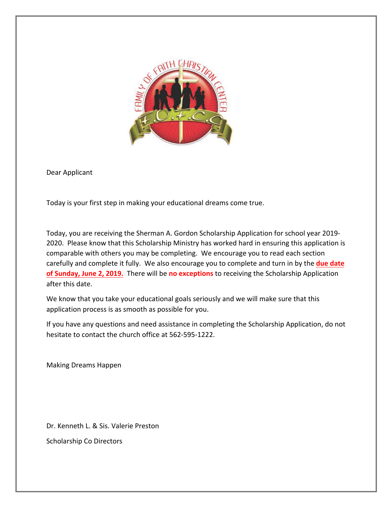

Dear Applicant

Today is your first step in making your educational dreams come true.

Today, you are receiving the Sherman A. Gordon Scholarship Application for school year 2019-2020. Please know that this Scholarship Ministry has worked hard in ensuring this application is comparable with others you may be completing. We encourage you to read each section carefully and complete it fully. We also encourage you to complete and turn in by the **due date of Sunday, June 2, 2019.** There will be no exceptions to receiving the Scholarship Application after this date.

We know that you take your educational goals seriously and we will make sure that this application process is as smooth as possible for you.

If you have any questions and need assistance in completing the Scholarship Application, do not hesitate to contact the church office at 562-595-1222.

Making Dreams Happen

Dr. Kenneth L. & Sis. Valerie Preston

Scholarship Co Directors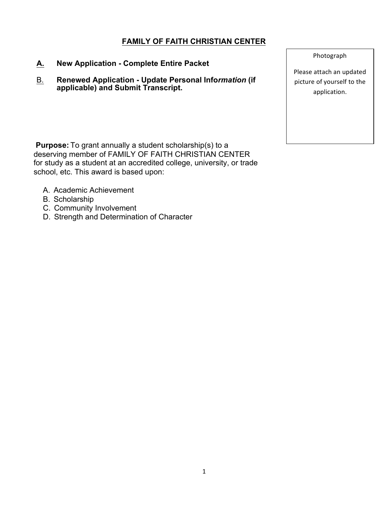# **FAMILY OF FAITH CHRISTIAN CENTER**

- **A. New Application - Complete Entire Packet**
- B. **Renewed Application - Update Personal Info***rmation* **(if applicable) and Submit Transcript.**

**Purpose:** To grant annually a student scholarship(s) to a deserving member of FAMILY OF FAITH CHRISTIAN CENTER for study as a student at an accredited college, university, or trade school, etc. This award is based upon:

- A. Academic Achievement
- B. Scholarship
- C. Community Involvement
- D. Strength and Determination of Character

Photograph

Please attach an updated picture of yourself to the application.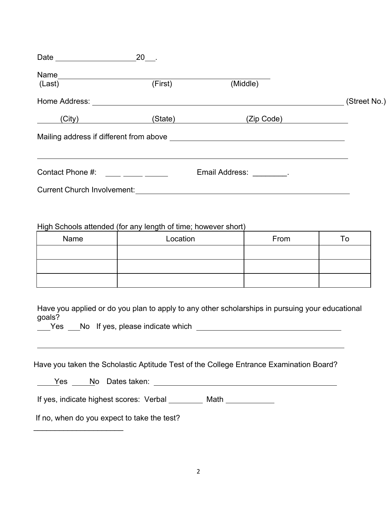| Date $\_\_$                        |              |                                  |  |
|------------------------------------|--------------|----------------------------------|--|
| Name                               |              |                                  |  |
| (Last)                             | (First)      | (Middle)                         |  |
| Home Address:                      | (Street No.) |                                  |  |
| (City)                             | (State)      | (Zip Code)                       |  |
|                                    |              |                                  |  |
| Contact Phone #:                   |              | Email Address: The Real Address: |  |
| <b>Current Church Involvement:</b> |              |                                  |  |

### High Schools attended (for any length of time; however short)

| Name | Location | From | ™о |
|------|----------|------|----|
|      |          |      |    |
|      |          |      |    |
|      |          |      |    |

Have you applied or do you plan to apply to any other scholarships in pursuing your educational goals?

Yes No If yes, please indicate which Network Channels No. 1996.

|  |  |  |  | Have you taken the Scholastic Aptitude Test of the College Entrance Examination Board? |  |
|--|--|--|--|----------------------------------------------------------------------------------------|--|
|  |  |  |  |                                                                                        |  |
|  |  |  |  |                                                                                        |  |

| ρc<br>v | Νo | Dates taken: |  |
|---------|----|--------------|--|
|         |    |              |  |

If yes, indicate highest scores: Verbal Math

If no, when do you expect to take the test?

 $\mathcal{L}_\text{max}$  , we have the set of the set of the set of the set of the set of the set of the set of the set of the set of the set of the set of the set of the set of the set of the set of the set of the set of the set of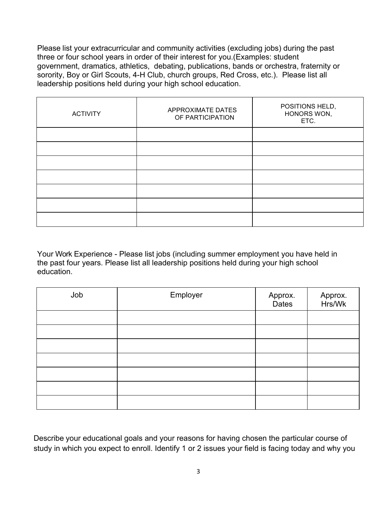Please list your extracurricular and community activities (excluding jobs) during the past three or four school years in order of their interest for you.(Examples: student government, dramatics, athletics, debating, publications, bands or orchestra, fraternity or sorority, Boy or Girl Scouts, 4-H Club, church groups, Red Cross, etc.). Please list all leadership positions held during your high school education.

| <b>ACTIVITY</b> | <b>APPROXIMATE DATES</b><br>OF PARTICIPATION | POSITIONS HELD,<br>HONORS WON,<br>ETC. |
|-----------------|----------------------------------------------|----------------------------------------|
|                 |                                              |                                        |
|                 |                                              |                                        |
|                 |                                              |                                        |
|                 |                                              |                                        |
|                 |                                              |                                        |
|                 |                                              |                                        |
|                 |                                              |                                        |

Your Work Experience - Please list jobs (including summer employment you have held in the past four years. Please list all leadership positions held during your high school education.

| Job | Employer | Approx.<br>Dates | Approx.<br>Hrs/Wk |
|-----|----------|------------------|-------------------|
|     |          |                  |                   |
|     |          |                  |                   |
|     |          |                  |                   |
|     |          |                  |                   |
|     |          |                  |                   |
|     |          |                  |                   |
|     |          |                  |                   |

Describe your educational goals and your reasons for having chosen the particular course of study in which you expect to enroll. Identify 1 or 2 issues your field is facing today and why you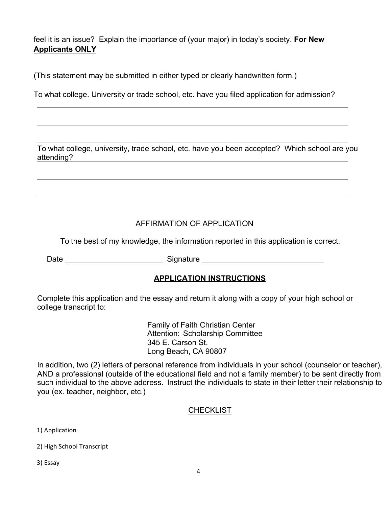feel it is an issue? Explain the importance of (your major) in today's society. **For New Applicants ONLY**

(This statement may be submitted in either typed or clearly handwritten form.)

To what college. University or trade school, etc. have you filed application for admission?

To what college, university, trade school, etc. have you been accepted? Which school are you attending?

# AFFIRMATION OF APPLICATION

To the best of my knowledge, the information reported in this application is correct.

Date Signature Signature

## **APPLICATION INSTRUCTIONS**

Complete this application and the essay and return it along with a copy of your high school or college transcript to:

> Family of Faith Christian Center Attention: Scholarship Committee 345 E. Carson St. Long Beach, CA 90807

In addition, two (2) letters of personal reference from individuals in your school (counselor or teacher), AND a professional (outside of the educational field and not a family member) to be sent directly from such individual to the above address. Instruct the individuals to state in their letter their relationship to you (ex. teacher, neighbor, etc.)

### **CHECKLIST**

1) Application

2) High School Transcript

3) Essay